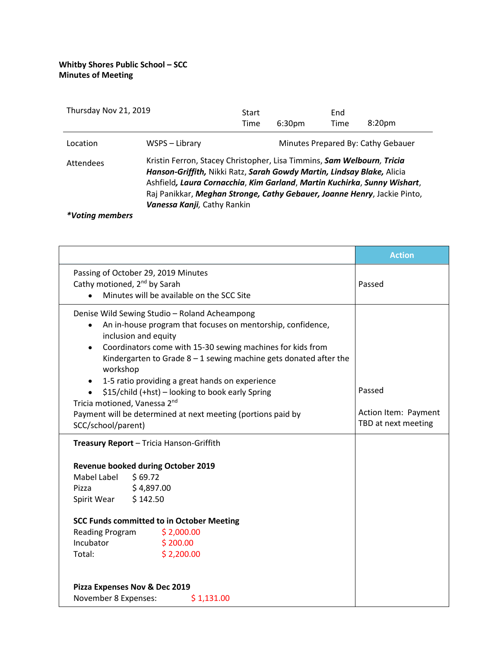| Thursday Nov 21, 2019 |                                                                                                                                                                                                                                                                                                                                         | Start |                    | End  |                                    |
|-----------------------|-----------------------------------------------------------------------------------------------------------------------------------------------------------------------------------------------------------------------------------------------------------------------------------------------------------------------------------------|-------|--------------------|------|------------------------------------|
|                       |                                                                                                                                                                                                                                                                                                                                         | Time  | 6:30 <sub>pm</sub> | Time | 8:20 <sub>pm</sub>                 |
| Location              | WSPS – Library                                                                                                                                                                                                                                                                                                                          |       |                    |      | Minutes Prepared By: Cathy Gebauer |
| <b>Attendees</b>      | Kristin Ferron, Stacey Christopher, Lisa Timmins, Sam Welbourn, Tricia<br>Hanson-Griffith, Nikki Ratz, Sarah Gowdy Martin, Lindsay Blake, Alicia<br>Ashfield, Laura Cornacchia, Kim Garland, Martin Kuchirka, Sunny Wishart,<br>Raj Panikkar, Meghan Stronge, Cathy Gebauer, Joanne Henry, Jackie Pinto,<br>Vanessa Kanji, Cathy Rankin |       |                    |      |                                    |
| *Votina members       |                                                                                                                                                                                                                                                                                                                                         |       |                    |      |                                    |

|                                                                                                                                                                                                                                                                                                                                                                                                                                                                                                                  |                                                                                                                              | <b>Action</b>                                         |
|------------------------------------------------------------------------------------------------------------------------------------------------------------------------------------------------------------------------------------------------------------------------------------------------------------------------------------------------------------------------------------------------------------------------------------------------------------------------------------------------------------------|------------------------------------------------------------------------------------------------------------------------------|-------------------------------------------------------|
|                                                                                                                                                                                                                                                                                                                                                                                                                                                                                                                  | Passing of October 29, 2019 Minutes<br>Cathy motioned, 2 <sup>nd</sup> by Sarah<br>Minutes will be available on the SCC Site | Passed                                                |
| Denise Wild Sewing Studio - Roland Acheampong<br>An in-house program that focuses on mentorship, confidence,<br>٠<br>inclusion and equity<br>Coordinators come with 15-30 sewing machines for kids from<br>Kindergarten to Grade $8-1$ sewing machine gets donated after the<br>workshop<br>1-5 ratio providing a great hands on experience<br>٠<br>\$15/child (+hst) - looking to book early Spring<br>Tricia motioned, Vanessa 2 <sup>nd</sup><br>Payment will be determined at next meeting (portions paid by |                                                                                                                              | Passed<br>Action Item: Payment<br>TBD at next meeting |
| SCC/school/parent)                                                                                                                                                                                                                                                                                                                                                                                                                                                                                               |                                                                                                                              |                                                       |
|                                                                                                                                                                                                                                                                                                                                                                                                                                                                                                                  | Treasury Report - Tricia Hanson-Griffith                                                                                     |                                                       |
|                                                                                                                                                                                                                                                                                                                                                                                                                                                                                                                  | Revenue booked during October 2019                                                                                           |                                                       |
| Mabel Label                                                                                                                                                                                                                                                                                                                                                                                                                                                                                                      | \$69.72                                                                                                                      |                                                       |
| Pizza                                                                                                                                                                                                                                                                                                                                                                                                                                                                                                            | \$4,897.00                                                                                                                   |                                                       |
| Spirit Wear \$142.50                                                                                                                                                                                                                                                                                                                                                                                                                                                                                             |                                                                                                                              |                                                       |
|                                                                                                                                                                                                                                                                                                                                                                                                                                                                                                                  | <b>SCC Funds committed to in October Meeting</b>                                                                             |                                                       |
| Reading Program                                                                                                                                                                                                                                                                                                                                                                                                                                                                                                  | \$2,000.00                                                                                                                   |                                                       |
| Incubator                                                                                                                                                                                                                                                                                                                                                                                                                                                                                                        | \$200.00                                                                                                                     |                                                       |
| Total:                                                                                                                                                                                                                                                                                                                                                                                                                                                                                                           | \$2,200.00                                                                                                                   |                                                       |
|                                                                                                                                                                                                                                                                                                                                                                                                                                                                                                                  | Pizza Expenses Nov & Dec 2019                                                                                                |                                                       |
| November 8 Expenses:                                                                                                                                                                                                                                                                                                                                                                                                                                                                                             | \$1,131.00                                                                                                                   |                                                       |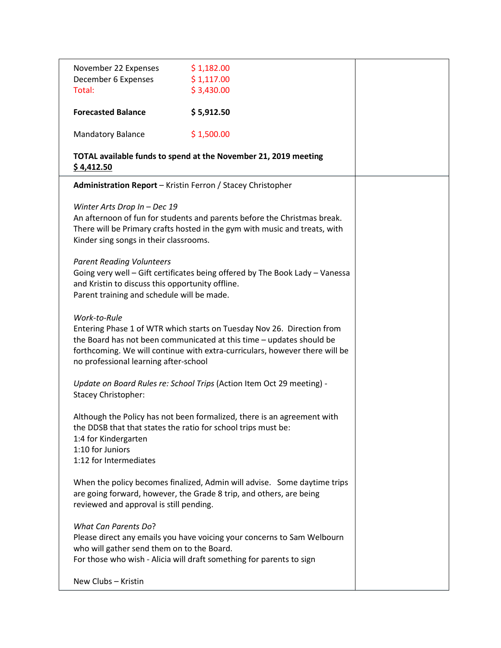| November 22 Expenses                                                                                                                                   | \$1,182.00                                                                   |                                                                          |  |  |  |
|--------------------------------------------------------------------------------------------------------------------------------------------------------|------------------------------------------------------------------------------|--------------------------------------------------------------------------|--|--|--|
| December 6 Expenses                                                                                                                                    | \$1,117.00                                                                   |                                                                          |  |  |  |
| Total:                                                                                                                                                 | \$3,430.00                                                                   |                                                                          |  |  |  |
| <b>Forecasted Balance</b>                                                                                                                              | \$5,912.50                                                                   |                                                                          |  |  |  |
| <b>Mandatory Balance</b>                                                                                                                               | \$1,500.00                                                                   |                                                                          |  |  |  |
| TOTAL available funds to spend at the November 21, 2019 meeting<br>\$4,412.50                                                                          |                                                                              |                                                                          |  |  |  |
| Administration Report - Kristin Ferron / Stacey Christopher                                                                                            |                                                                              |                                                                          |  |  |  |
| Winter Arts Drop In - Dec 19                                                                                                                           |                                                                              |                                                                          |  |  |  |
| An afternoon of fun for students and parents before the Christmas break.<br>There will be Primary crafts hosted in the gym with music and treats, with |                                                                              |                                                                          |  |  |  |
| Kinder sing songs in their classrooms.                                                                                                                 |                                                                              |                                                                          |  |  |  |
| <b>Parent Reading Volunteers</b>                                                                                                                       |                                                                              |                                                                          |  |  |  |
|                                                                                                                                                        | Going very well - Gift certificates being offered by The Book Lady - Vanessa |                                                                          |  |  |  |
| and Kristin to discuss this opportunity offline.<br>Parent training and schedule will be made.                                                         |                                                                              |                                                                          |  |  |  |
| Work-to-Rule                                                                                                                                           |                                                                              |                                                                          |  |  |  |
| Entering Phase 1 of WTR which starts on Tuesday Nov 26. Direction from                                                                                 |                                                                              |                                                                          |  |  |  |
| the Board has not been communicated at this time - updates should be<br>forthcoming. We will continue with extra-curriculars, however there will be    |                                                                              |                                                                          |  |  |  |
| no professional learning after-school                                                                                                                  |                                                                              |                                                                          |  |  |  |
| Update on Board Rules re: School Trips (Action Item Oct 29 meeting) -                                                                                  |                                                                              |                                                                          |  |  |  |
| <b>Stacey Christopher:</b>                                                                                                                             |                                                                              |                                                                          |  |  |  |
|                                                                                                                                                        |                                                                              | Although the Policy has not been formalized, there is an agreement with  |  |  |  |
| the DDSB that that states the ratio for school trips must be:                                                                                          |                                                                              |                                                                          |  |  |  |
| 1:4 for Kindergarten<br>1:10 for Juniors                                                                                                               |                                                                              |                                                                          |  |  |  |
| 1:12 for Intermediates                                                                                                                                 |                                                                              |                                                                          |  |  |  |
|                                                                                                                                                        |                                                                              | When the policy becomes finalized, Admin will advise. Some daytime trips |  |  |  |
| are going forward, however, the Grade 8 trip, and others, are being                                                                                    |                                                                              |                                                                          |  |  |  |
| reviewed and approval is still pending.                                                                                                                |                                                                              |                                                                          |  |  |  |
| <b>What Can Parents Do?</b>                                                                                                                            |                                                                              |                                                                          |  |  |  |
| Please direct any emails you have voicing your concerns to Sam Welbourn                                                                                |                                                                              |                                                                          |  |  |  |
| who will gather send them on to the Board.<br>For those who wish - Alicia will draft something for parents to sign                                     |                                                                              |                                                                          |  |  |  |
|                                                                                                                                                        |                                                                              |                                                                          |  |  |  |
| New Clubs - Kristin                                                                                                                                    |                                                                              |                                                                          |  |  |  |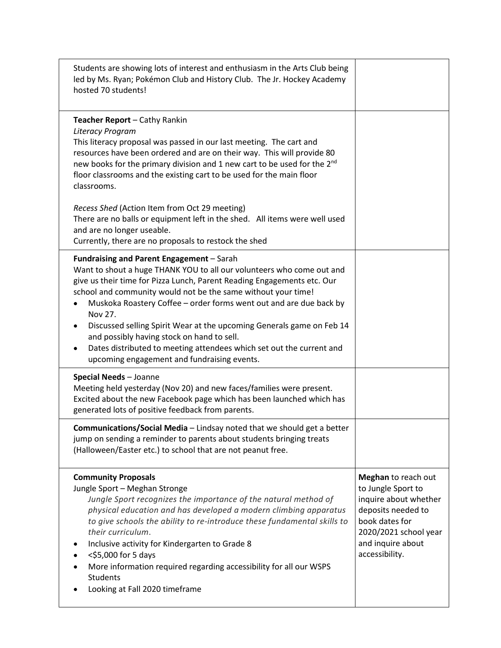| Students are showing lots of interest and enthusiasm in the Arts Club being<br>led by Ms. Ryan; Pokémon Club and History Club. The Jr. Hockey Academy<br>hosted 70 students!                                                                                                                                                                                                                                                                                                                                                                                                                       |                                                                                                                                                                            |
|----------------------------------------------------------------------------------------------------------------------------------------------------------------------------------------------------------------------------------------------------------------------------------------------------------------------------------------------------------------------------------------------------------------------------------------------------------------------------------------------------------------------------------------------------------------------------------------------------|----------------------------------------------------------------------------------------------------------------------------------------------------------------------------|
| <b>Teacher Report - Cathy Rankin</b><br>Literacy Program<br>This literacy proposal was passed in our last meeting. The cart and<br>resources have been ordered and are on their way. This will provide 80<br>new books for the primary division and 1 new cart to be used for the 2 <sup>nd</sup><br>floor classrooms and the existing cart to be used for the main floor<br>classrooms.                                                                                                                                                                                                           |                                                                                                                                                                            |
| Recess Shed (Action Item from Oct 29 meeting)<br>There are no balls or equipment left in the shed. All items were well used<br>and are no longer useable.<br>Currently, there are no proposals to restock the shed                                                                                                                                                                                                                                                                                                                                                                                 |                                                                                                                                                                            |
| Fundraising and Parent Engagement - Sarah<br>Want to shout a huge THANK YOU to all our volunteers who come out and<br>give us their time for Pizza Lunch, Parent Reading Engagements etc. Our<br>school and community would not be the same without your time!<br>Muskoka Roastery Coffee - order forms went out and are due back by<br>Nov 27.<br>Discussed selling Spirit Wear at the upcoming Generals game on Feb 14<br>٠<br>and possibly having stock on hand to sell.<br>Dates distributed to meeting attendees which set out the current and<br>upcoming engagement and fundraising events. |                                                                                                                                                                            |
| Special Needs - Joanne<br>Meeting held yesterday (Nov 20) and new faces/families were present.<br>Excited about the new Facebook page which has been launched which has<br>generated lots of positive feedback from parents.                                                                                                                                                                                                                                                                                                                                                                       |                                                                                                                                                                            |
| <b>Communications/Social Media</b> - Lindsay noted that we should get a better<br>jump on sending a reminder to parents about students bringing treats<br>(Halloween/Easter etc.) to school that are not peanut free.                                                                                                                                                                                                                                                                                                                                                                              |                                                                                                                                                                            |
| <b>Community Proposals</b><br>Jungle Sport - Meghan Stronge<br>Jungle Sport recognizes the importance of the natural method of<br>physical education and has developed a modern climbing apparatus<br>to give schools the ability to re-introduce these fundamental skills to<br>their curriculum.<br>Inclusive activity for Kindergarten to Grade 8<br><\$5,000 for 5 days<br>More information required regarding accessibility for all our WSPS<br>Students<br>Looking at Fall 2020 timeframe                                                                                                    | Meghan to reach out<br>to Jungle Sport to<br>inquire about whether<br>deposits needed to<br>book dates for<br>2020/2021 school year<br>and inquire about<br>accessibility. |